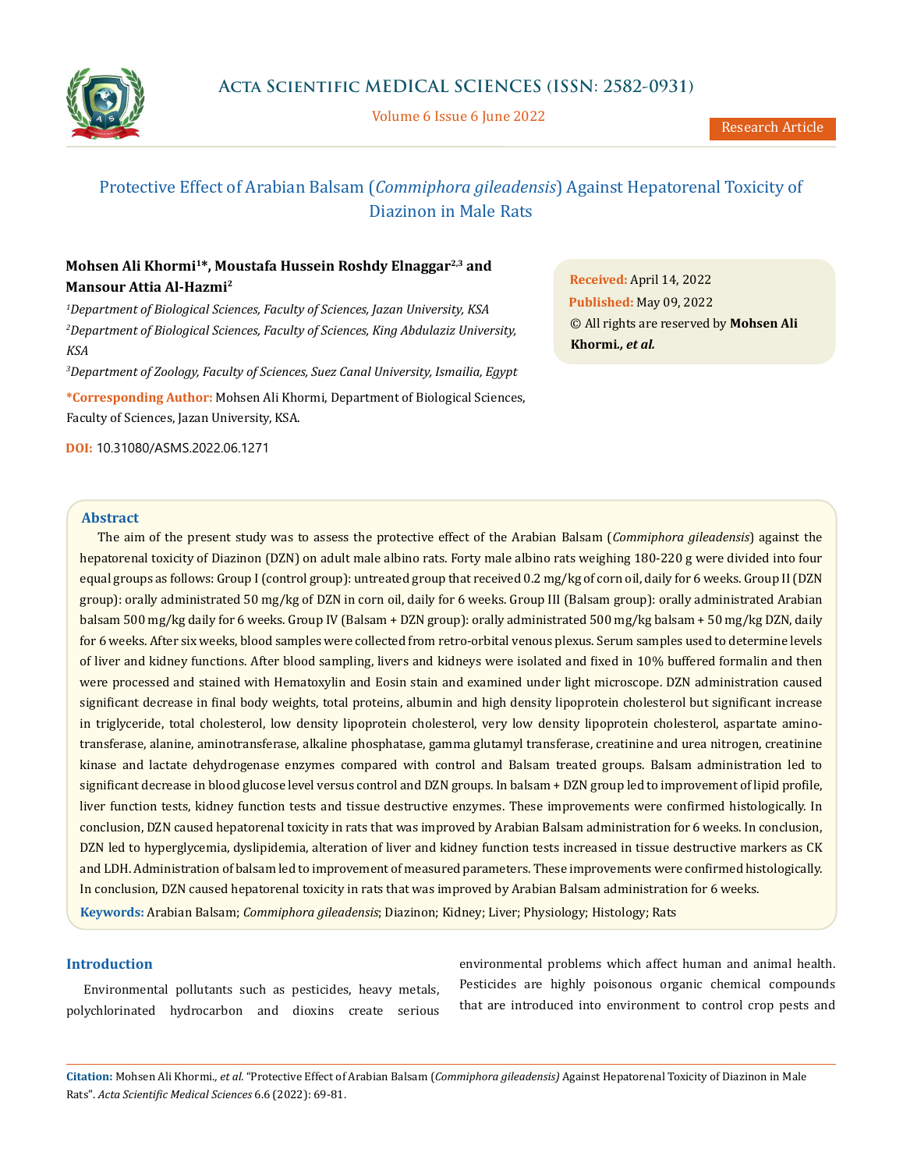

Volume 6 Issue 6 June 2022

# Protective Effect of Arabian Balsam (*Commiphora gileadensis*) Against Hepatorenal Toxicity of Diazinon in Male Rats

# **Mohsen Ali Khormi1\*, Moustafa Hussein Roshdy Elnaggar2,3 and Mansour Attia Al-Hazmi2**

*1 Department of Biological Sciences, Faculty of Sciences, Jazan University, KSA 2 Department of Biological Sciences, Faculty of Sciences, King Abdulaziz University, KSA*

*3 Department of Zoology, Faculty of Sciences, Suez Canal University, Ismailia, Egypt*

**\*Corresponding Author:** Mohsen Ali Khormi, Department of Biological Sciences, Faculty of Sciences, Jazan University, KSA.

**DOI:** [10.31080/ASMS.2022.06.1271](http:// actascientific.com/ASMS/pdf/ASMS-06-1271.pdf)

**Received:** April 14, 2022 **Published:** May 09, 2022 © All rights are reserved by **Mohsen Ali Khormi***., et al.*

### **Abstract**

The aim of the present study was to assess the protective effect of the Arabian Balsam (*Commiphora gileadensis*) against the hepatorenal toxicity of Diazinon (DZN) on adult male albino rats. Forty male albino rats weighing 180-220 g were divided into four equal groups as follows: Group I (control group): untreated group that received 0.2 mg/kg of corn oil, daily for 6 weeks. Group II (DZN group): orally administrated 50 mg/kg of DZN in corn oil, daily for 6 weeks. Group III (Balsam group): orally administrated Arabian balsam 500 mg/kg daily for 6 weeks. Group IV (Balsam + DZN group): orally administrated 500 mg/kg balsam + 50 mg/kg DZN, daily for 6 weeks. After six weeks, blood samples were collected from retro-orbital venous plexus. Serum samples used to determine levels of liver and kidney functions. After blood sampling, livers and kidneys were isolated and fixed in 10% buffered formalin and then were processed and stained with Hematoxylin and Eosin stain and examined under light microscope. DZN administration caused significant decrease in final body weights, total proteins, albumin and high density lipoprotein cholesterol but significant increase in triglyceride, total cholesterol, low density lipoprotein cholesterol, very low density lipoprotein cholesterol, aspartate aminotransferase, alanine, aminotransferase, alkaline phosphatase, gamma glutamyl transferase, creatinine and urea nitrogen, creatinine kinase and lactate dehydrogenase enzymes compared with control and Balsam treated groups. Balsam administration led to significant decrease in blood glucose level versus control and DZN groups. In balsam + DZN group led to improvement of lipid profile, liver function tests, kidney function tests and tissue destructive enzymes. These improvements were confirmed histologically. In conclusion, DZN caused hepatorenal toxicity in rats that was improved by Arabian Balsam administration for 6 weeks. In conclusion, DZN led to hyperglycemia, dyslipidemia, alteration of liver and kidney function tests increased in tissue destructive markers as CK and LDH. Administration of balsam led to improvement of measured parameters. These improvements were confirmed histologically. In conclusion, DZN caused hepatorenal toxicity in rats that was improved by Arabian Balsam administration for 6 weeks.

**Keywords:** Arabian Balsam; *Commiphora gileadensis*; Diazinon; Kidney; Liver; Physiology; Histology; Rats

# **Introduction**

Environmental pollutants such as pesticides, heavy metals, polychlorinated hydrocarbon and dioxins create serious environmental problems which affect human and animal health. Pesticides are highly poisonous organic chemical compounds that are introduced into environment to control crop pests and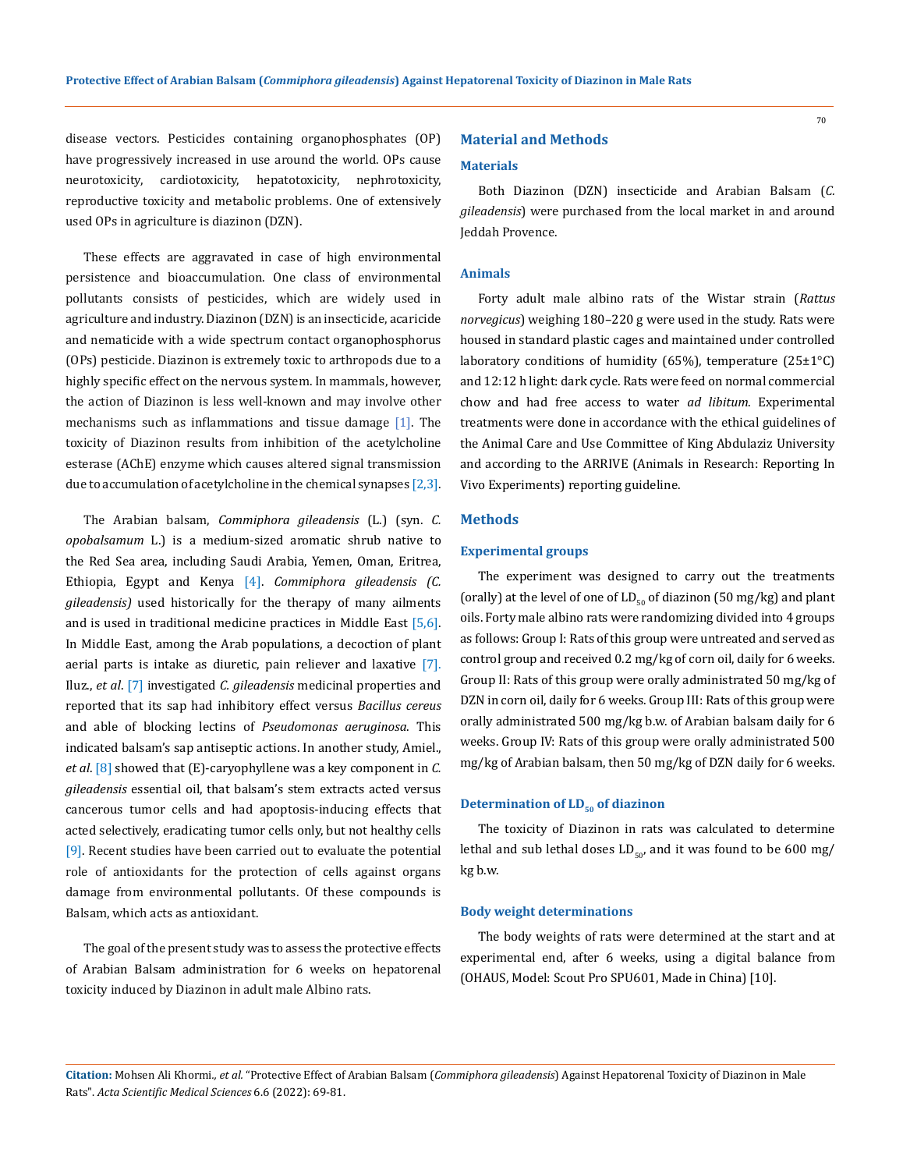disease vectors. Pesticides containing organophosphates (OP) have progressively increased in use around the world. OPs cause neurotoxicity, cardiotoxicity, hepatotoxicity, nephrotoxicity, reproductive toxicity and metabolic problems. One of extensively used OPs in agriculture is diazinon (DZN).

These effects are aggravated in case of high environmental persistence and bioaccumulation. One class of environmental pollutants consists of pesticides, which are widely used in agriculture and industry. Diazinon (DZN) is an insecticide, acaricide and nematicide with a wide spectrum contact organophosphorus (OPs) pesticide. Diazinon is extremely toxic to arthropods due to a highly specific effect on the nervous system. In mammals, however, the action of Diazinon is less well-known and may involve other mechanisms such as inflammations and tissue damage  $[1]$ . The toxicity of Diazinon results from inhibition of the acetylcholine esterase (AChE) enzyme which causes altered signal transmission due to accumulation of acetylcholine in the chemical synapses [2,3].

The Arabian balsam, *Commiphora gileadensis* (L.) (syn. *C. opobalsamum* L.) is a medium-sized aromatic shrub native to the Red Sea area, including Saudi Arabia, Yemen, Oman, Eritrea, Ethiopia, Egypt and Kenya [4]. *Commiphora gileadensis (C. gileadensis)* used historically for the therapy of many ailments and is used in traditional medicine practices in Middle East  $[5,6]$ . In Middle East, among the Arab populations, a decoction of plant aerial parts is intake as diuretic, pain reliever and laxative [7]. Iluz., *et al*. [7] investigated *C. gileadensis* medicinal properties and reported that its sap had inhibitory effect versus *Bacillus cereus* and able of blocking lectins of *Pseudomonas aeruginosa*. This indicated balsam's sap antiseptic actions. In another study, Amiel., *et al*. [8] showed that (E)-caryophyllene was a key component in *C. gileadensis* essential oil, that balsam's stem extracts acted versus cancerous tumor cells and had apoptosis-inducing effects that acted selectively, eradicating tumor cells only, but not healthy cells [9]. Recent studies have been carried out to evaluate the potential role of antioxidants for the protection of cells against organs damage from environmental pollutants. Of these compounds is Balsam, which acts as antioxidant.

The goal of the present study was to assess the protective effects of Arabian Balsam administration for 6 weeks on hepatorenal toxicity induced by Diazinon in adult male Albino rats.

# **Material and Methods**

### **Materials**

70

Both Diazinon (DZN) insecticide and Arabian Balsam (*C. gileadensis*) were purchased from the local market in and around Jeddah Provence.

### **Animals**

Forty adult male albino rats of the Wistar strain (*Rattus norvegicus*) weighing 180–220 g were used in the study. Rats were housed in standard plastic cages and maintained under controlled laboratory conditions of humidity (65%), temperature (25±1 $^{\circ}$ C) and 12:12 h light: dark cycle. Rats were feed on normal commercial chow and had free access to water *ad libitum*. Experimental treatments were done in accordance with the ethical guidelines of the Animal Care and Use Committee of King Abdulaziz University and according to the ARRIVE (Animals in Research: Reporting In Vivo Experiments) reporting guideline.

# **Methods**

### **Experimental groups**

The experiment was designed to carry out the treatments (orally) at the level of one of  $LD_{50}$  of diazinon (50 mg/kg) and plant oils. Forty male albino rats were randomizing divided into 4 groups as follows: Group I: Rats of this group were untreated and served as control group and received 0.2 mg/kg of corn oil, daily for 6 weeks. Group II: Rats of this group were orally administrated 50 mg/kg of DZN in corn oil, daily for 6 weeks. Group III: Rats of this group were orally administrated 500 mg/kg b.w. of Arabian balsam daily for 6 weeks. Group IV: Rats of this group were orally administrated 500 mg/kg of Arabian balsam, then 50 mg/kg of DZN daily for 6 weeks.

# **Determination of LD<sub>50</sub> of diazinon**

The toxicity of Diazinon in rats was calculated to determine lethal and sub lethal doses  $LD_{50}$  and it was found to be 600 mg/ kg b.w.

### **Body weight determinations**

The body weights of rats were determined at the start and at experimental end, after 6 weeks, using a digital balance from (OHAUS, Model: Scout Pro SPU601, Made in China) [10].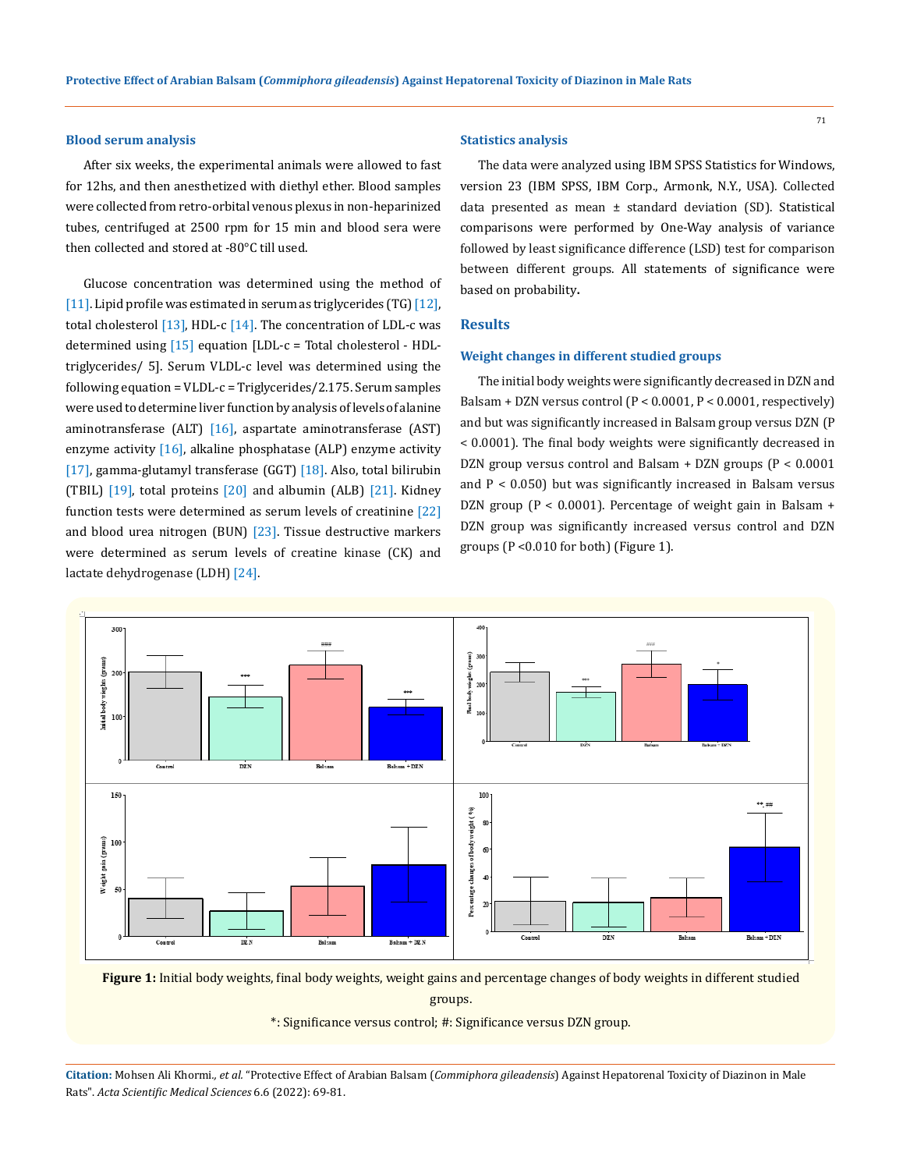### **Blood serum analysis**

After six weeks, the experimental animals were allowed to fast for 12hs, and then anesthetized with diethyl ether. Blood samples were collected from retro-orbital venous plexus in non-heparinized tubes, centrifuged at 2500 rpm for 15 min and blood sera were then collected and stored at -80°C till used.

Glucose concentration was determined using the method of [11]. Lipid profile was estimated in serum as triglycerides (TG) [12], total cholesterol  $[13]$ , HDL-c  $[14]$ . The concentration of LDL-c was determined using  $[15]$  equation  $[LDL-c = Total cholesterol - HDL$ triglycerides/ 5]. Serum VLDL-c level was determined using the following equation = VLDL-c = Triglycerides/2.175. Serum samples were used to determine liver function by analysis of levels of alanine aminotransferase  $(ALT)$  [16], aspartate aminotransferase  $(AST)$ enzyme activity  $[16]$ , alkaline phosphatase  $(ALP)$  enzyme activity [17], gamma-glutamyl transferase (GGT) [18]. Also, total bilirubin (TBIL) [19], total proteins [20] and albumin (ALB) [21]. Kidney function tests were determined as serum levels of creatinine  $[22]$ and blood urea nitrogen (BUN)  $[23]$ . Tissue destructive markers were determined as serum levels of creatine kinase (CK) and lactate dehydrogenase (LDH) [24].

### **Statistics analysis**

The data were analyzed using IBM SPSS Statistics for Windows, version 23 (IBM SPSS, IBM Corp., Armonk, N.Y., USA). Collected data presented as mean ± standard deviation (SD). Statistical comparisons were performed by One-Way analysis of variance followed by least significance difference (LSD) test for comparison between different groups. All statements of significance were based on probability**.**

# **Results**

### **Weight changes in different studied groups**

The initial body weights were significantly decreased in DZN and Balsam + DZN versus control (P < 0.0001, P < 0.0001, respectively) and but was significantly increased in Balsam group versus DZN (P < 0.0001). The final body weights were significantly decreased in DZN group versus control and Balsam + DZN groups (P < 0.0001 and P < 0.050) but was significantly increased in Balsam versus DZN group (P < 0.0001). Percentage of weight gain in Balsam + DZN group was significantly increased versus control and DZN groups (P <0.010 for both) (Figure 1).



**Figure 1:** Initial body weights, final body weights, weight gains and percentage changes of body weights in different studied groups.

\*: Significance versus control; #: Significance versus DZN group.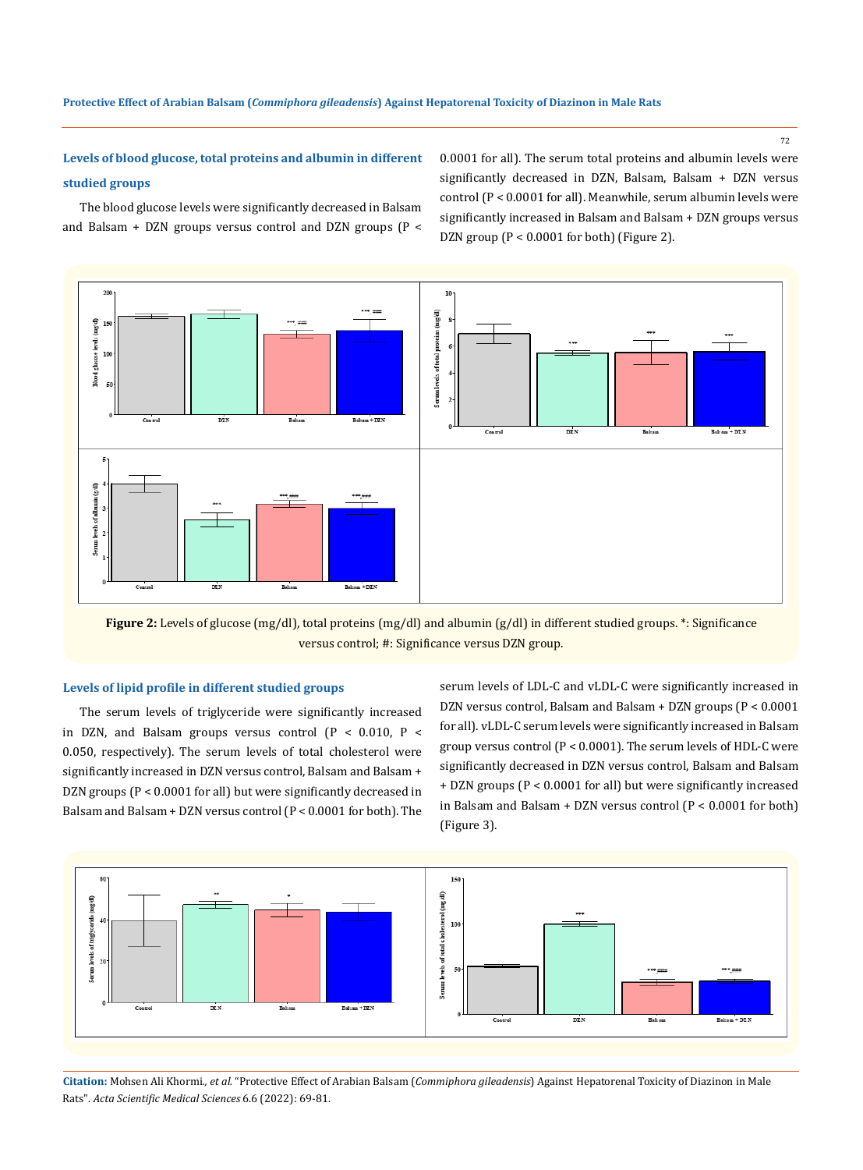# **Levels of blood glucose, total proteins and albumin in different studied groups**

0.0001 for all). The serum total proteins and albumin levels were significantly decreased in DZN, Balsam, Balsam + DZN versus control (P < 0.0001 for all). Meanwhile, serum albumin levels were significantly increased in Balsam and Balsam + DZN groups versus DZN group (P < 0.0001 for both) (Figure 2).

The blood glucose levels were significantly decreased in Balsam and Balsam + DZN groups versus control and DZN groups (P <



**Figure 2:** Levels of glucose (mg/dl), total proteins (mg/dl) and albumin (g/dl) in different studied groups. \*: Significance versus control; #: Significance versus DZN group.

### **Levels of lipid profile in different studied groups**

The serum levels of triglyceride were significantly increased in DZN, and Balsam groups versus control  $(P < 0.010, P <$ 0.050, respectively). The serum levels of total cholesterol were significantly increased in DZN versus control, Balsam and Balsam + DZN groups (P < 0.0001 for all) but were significantly decreased in Balsam and Balsam + DZN versus control (P < 0.0001 for both). The serum levels of LDL-C and vLDL-C were significantly increased in DZN versus control, Balsam and Balsam + DZN groups (P < 0.0001 for all). vLDL-C serum levels were significantly increased in Balsam group versus control (P < 0.0001). The serum levels of HDL-C were significantly decreased in DZN versus control, Balsam and Balsam + DZN groups (P < 0.0001 for all) but were significantly increased in Balsam and Balsam + DZN versus control  $(P < 0.0001$  for both) (Figure 3).



**Citation:** Mohsen Ali Khormi*., et al.* "Protective Effect of Arabian Balsam (*Commiphora gileadensis*) Against Hepatorenal Toxicity of Diazinon in Male Rats". *Acta Scientific Medical Sciences* 6.6 (2022): 69-81.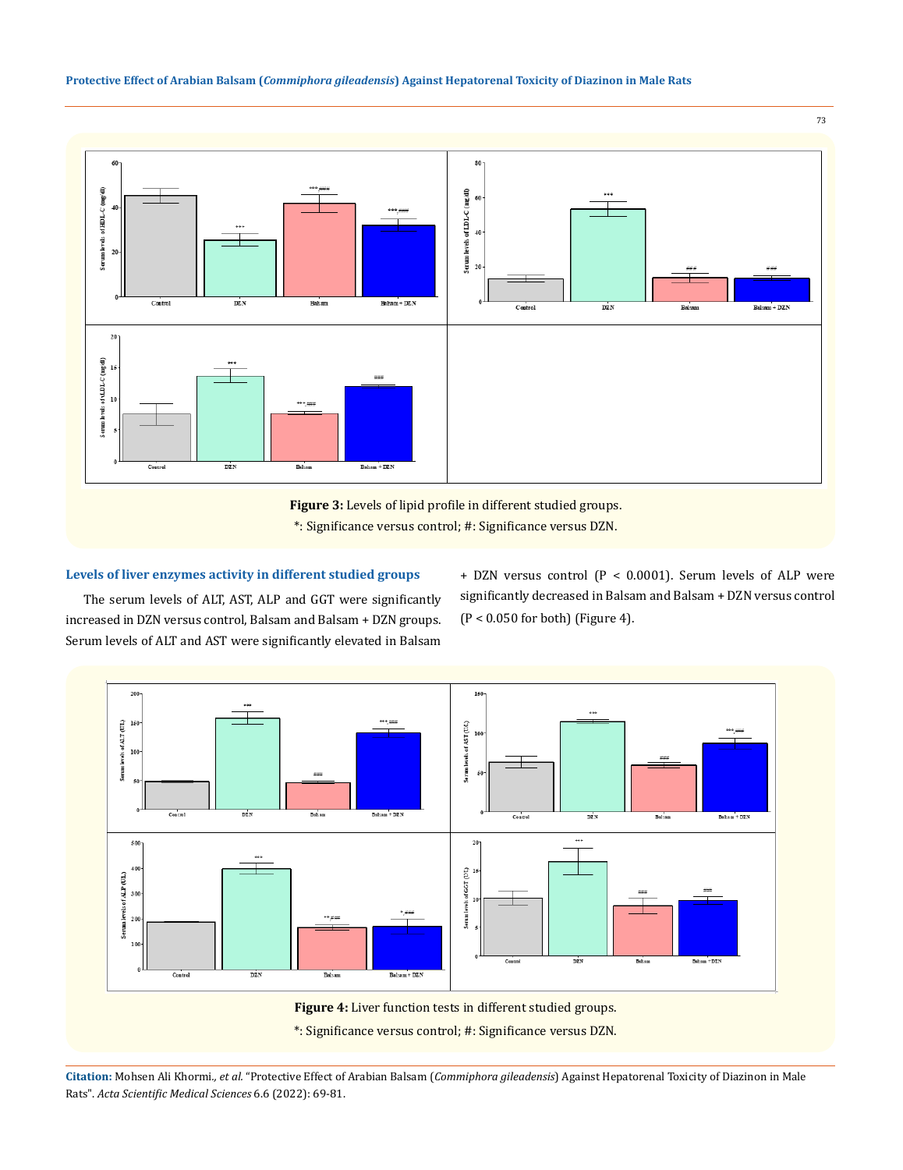# **Protective Effect of Arabian Balsam (***Commiphora gileadensis***) Against Hepatorenal Toxicity of Diazinon in Male Rats**



**Figure 3:** Levels of lipid profile in different studied groups. \*: Significance versus control; #: Significance versus DZN.

# **Levels of liver enzymes activity in different studied groups**

The serum levels of ALT, AST, ALP and GGT were significantly increased in DZN versus control, Balsam and Balsam + DZN groups. Serum levels of ALT and AST were significantly elevated in Balsam + DZN versus control (P < 0.0001). Serum levels of ALP were significantly decreased in Balsam and Balsam + DZN versus control  $(P < 0.050$  for both) (Figure 4).



**Citation:** Mohsen Ali Khormi*., et al.* "Protective Effect of Arabian Balsam (*Commiphora gileadensis*) Against Hepatorenal Toxicity of Diazinon in Male Rats". *Acta Scientific Medical Sciences* 6.6 (2022): 69-81.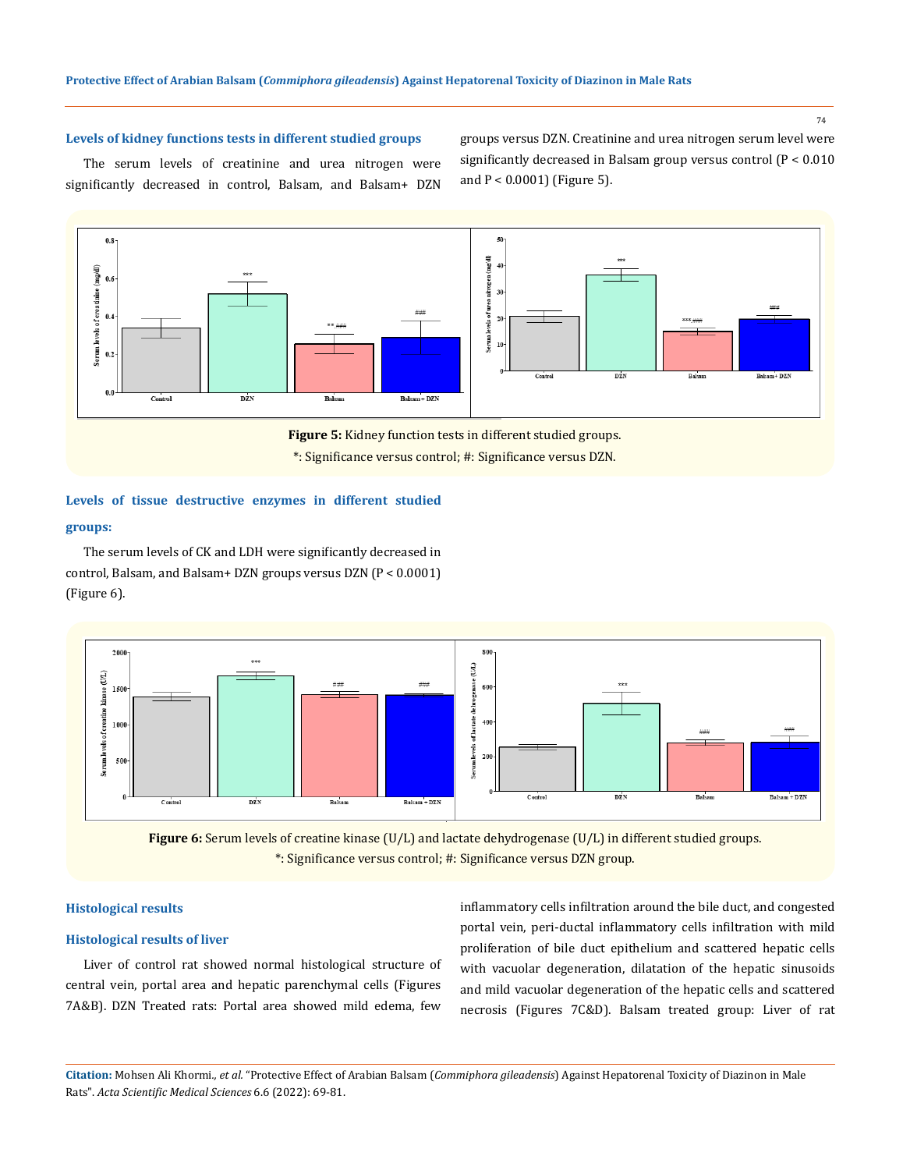74

# **Levels of kidney functions tests in different studied groups**

The serum levels of creatinine and urea nitrogen were significantly decreased in control, Balsam, and Balsam+ DZN groups versus DZN. Creatinine and urea nitrogen serum level were significantly decreased in Balsam group versus control (P < 0.010 and P < 0.0001) (Figure 5).



\*: Significance versus control; #: Significance versus DZN.

# **Levels of tissue destructive enzymes in different studied**

### **groups:**

The serum levels of CK and LDH were significantly decreased in control, Balsam, and Balsam+ DZN groups versus DZN (P < 0.0001) (Figure 6).





### **Histological results**

#### **Histological results of liver**

Liver of control rat showed normal histological structure of central vein, portal area and hepatic parenchymal cells (Figures 7A&B). DZN Treated rats: Portal area showed mild edema, few

inflammatory cells infiltration around the bile duct, and congested portal vein, peri-ductal inflammatory cells infiltration with mild proliferation of bile duct epithelium and scattered hepatic cells with vacuolar degeneration, dilatation of the hepatic sinusoids and mild vacuolar degeneration of the hepatic cells and scattered necrosis (Figures 7C&D). Balsam treated group: Liver of rat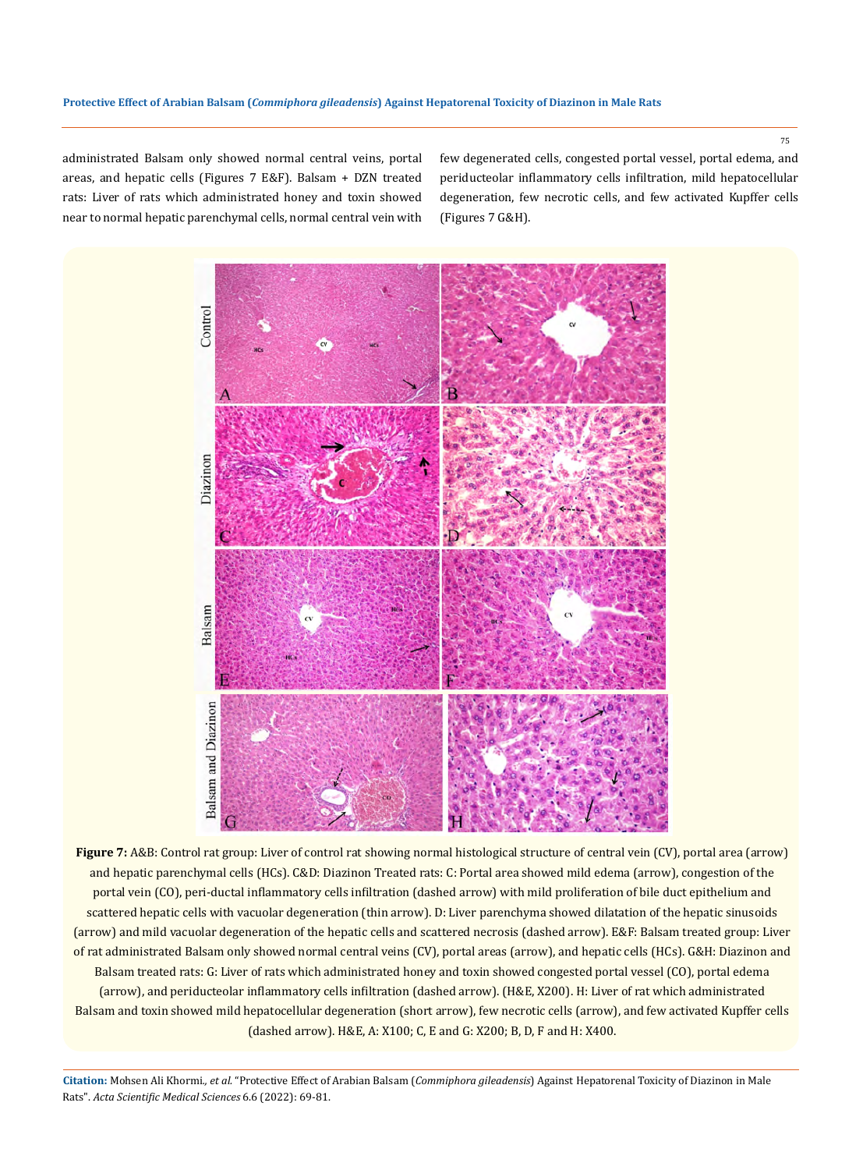administrated Balsam only showed normal central veins, portal areas, and hepatic cells (Figures 7 E&F). Balsam + DZN treated rats: Liver of rats which administrated honey and toxin showed near to normal hepatic parenchymal cells, normal central vein with few degenerated cells, congested portal vessel, portal edema, and periducteolar inflammatory cells infiltration, mild hepatocellular degeneration, few necrotic cells, and few activated Kupffer cells (Figures 7 G&H).



**Figure 7:** A&B: Control rat group: Liver of control rat showing normal histological structure of central vein (CV), portal area (arrow) and hepatic parenchymal cells (HCs). C&D: Diazinon Treated rats: C: Portal area showed mild edema (arrow), congestion of the portal vein (CO), peri-ductal inflammatory cells infiltration (dashed arrow) with mild proliferation of bile duct epithelium and scattered hepatic cells with vacuolar degeneration (thin arrow). D: Liver parenchyma showed dilatation of the hepatic sinusoids (arrow) and mild vacuolar degeneration of the hepatic cells and scattered necrosis (dashed arrow). E&F: Balsam treated group: Liver of rat administrated Balsam only showed normal central veins (CV), portal areas (arrow), and hepatic cells (HCs). G&H: Diazinon and Balsam treated rats: G: Liver of rats which administrated honey and toxin showed congested portal vessel (CO), portal edema (arrow), and periducteolar inflammatory cells infiltration (dashed arrow). (H&E, X200). H: Liver of rat which administrated Balsam and toxin showed mild hepatocellular degeneration (short arrow), few necrotic cells (arrow), and few activated Kupffer cells (dashed arrow). H&E, A: X100; C, E and G: X200; B, D, F and H: X400.

**Citation:** Mohsen Ali Khormi*., et al.* "Protective Effect of Arabian Balsam (*Commiphora gileadensis*) Against Hepatorenal Toxicity of Diazinon in Male Rats". *Acta Scientific Medical Sciences* 6.6 (2022): 69-81.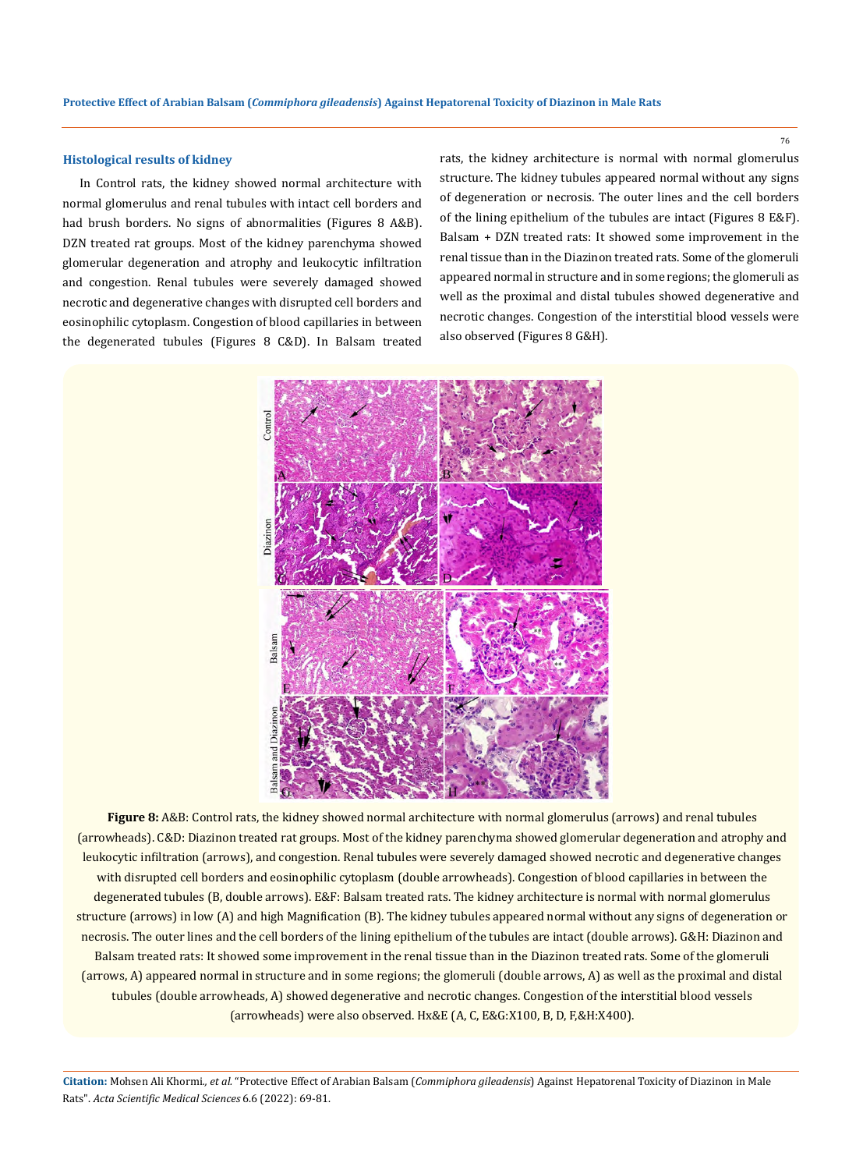# **Histological results of kidney**

In Control rats, the kidney showed normal architecture with normal glomerulus and renal tubules with intact cell borders and had brush borders. No signs of abnormalities (Figures 8 A&B). DZN treated rat groups. Most of the kidney parenchyma showed glomerular degeneration and atrophy and leukocytic infiltration and congestion. Renal tubules were severely damaged showed necrotic and degenerative changes with disrupted cell borders and eosinophilic cytoplasm. Congestion of blood capillaries in between the degenerated tubules (Figures 8 C&D). In Balsam treated rats, the kidney architecture is normal with normal glomerulus structure. The kidney tubules appeared normal without any signs of degeneration or necrosis. The outer lines and the cell borders of the lining epithelium of the tubules are intact (Figures 8 E&F). Balsam + DZN treated rats: It showed some improvement in the renal tissue than in the Diazinon treated rats. Some of the glomeruli appeared normal in structure and in some regions; the glomeruli as well as the proximal and distal tubules showed degenerative and necrotic changes. Congestion of the interstitial blood vessels were also observed (Figures 8 G&H).



**Figure 8:** A&B: Control rats, the kidney showed normal architecture with normal glomerulus (arrows) and renal tubules (arrowheads). C&D: Diazinon treated rat groups. Most of the kidney parenchyma showed glomerular degeneration and atrophy and leukocytic infiltration (arrows), and congestion. Renal tubules were severely damaged showed necrotic and degenerative changes with disrupted cell borders and eosinophilic cytoplasm (double arrowheads). Congestion of blood capillaries in between the degenerated tubules (B, double arrows). E&F: Balsam treated rats. The kidney architecture is normal with normal glomerulus structure (arrows) in low (A) and high Magnification (B). The kidney tubules appeared normal without any signs of degeneration or necrosis. The outer lines and the cell borders of the lining epithelium of the tubules are intact (double arrows). G&H: Diazinon and Balsam treated rats: It showed some improvement in the renal tissue than in the Diazinon treated rats. Some of the glomeruli (arrows, A) appeared normal in structure and in some regions; the glomeruli (double arrows, A) as well as the proximal and distal tubules (double arrowheads, A) showed degenerative and necrotic changes. Congestion of the interstitial blood vessels (arrowheads) were also observed. Hx&E (A, C, E&G:X100, B, D, F,&H:X400).

**Citation:** Mohsen Ali Khormi*., et al.* "Protective Effect of Arabian Balsam (*Commiphora gileadensis*) Against Hepatorenal Toxicity of Diazinon in Male Rats". *Acta Scientific Medical Sciences* 6.6 (2022): 69-81.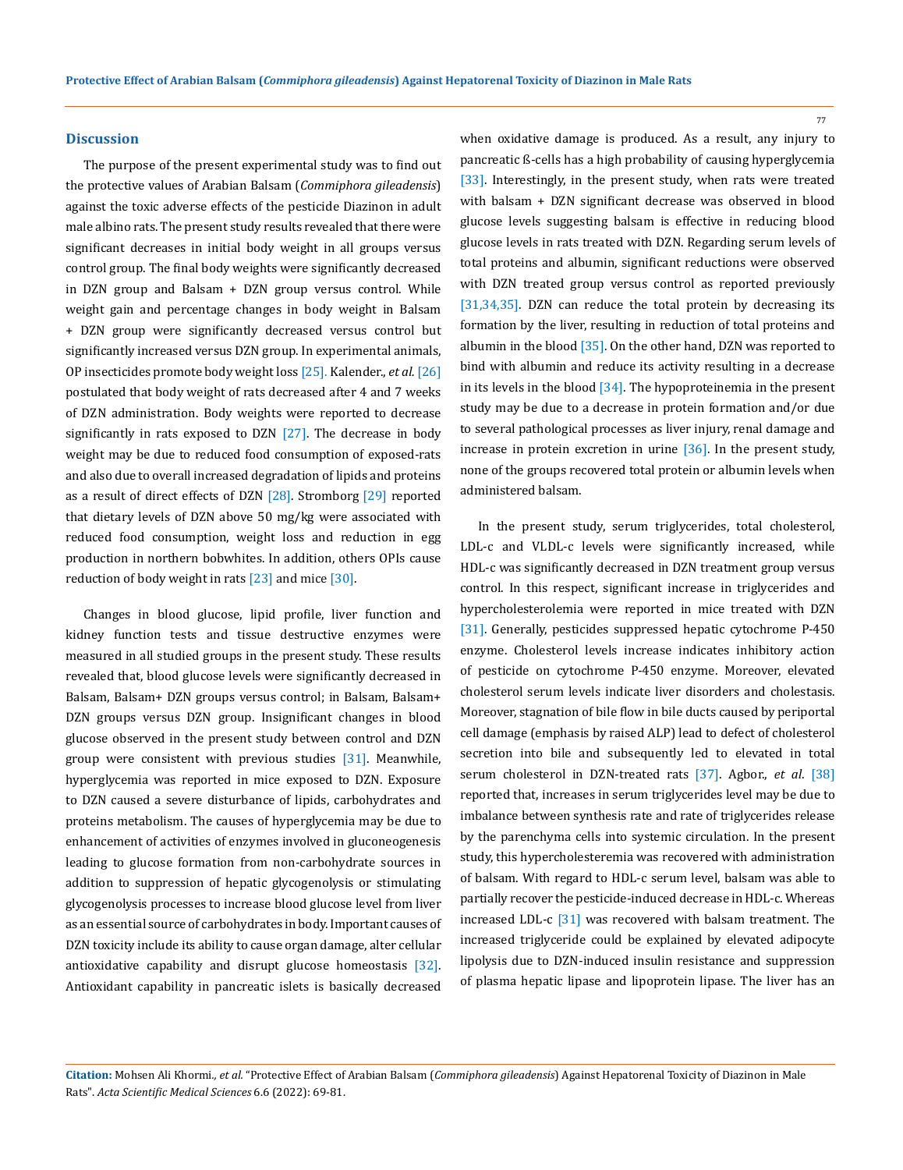### **Discussion**

The purpose of the present experimental study was to find out the protective values of Arabian Balsam (*Commiphora gileadensis*) against the toxic adverse effects of the pesticide Diazinon in adult male albino rats. The present study results revealed that there were significant decreases in initial body weight in all groups versus control group. The final body weights were significantly decreased in DZN group and Balsam + DZN group versus control. While weight gain and percentage changes in body weight in Balsam + DZN group were significantly decreased versus control but significantly increased versus DZN group. In experimental animals, OP insecticides promote body weight loss [25]. Kalender., *et al.* [26] postulated that body weight of rats decreased after 4 and 7 weeks of DZN administration. Body weights were reported to decrease significantly in rats exposed to DZN  $[27]$ . The decrease in body weight may be due to reduced food consumption of exposed-rats and also due to overall increased degradation of lipids and proteins as a result of direct effects of DZN [28]. Stromborg [29] reported that dietary levels of DZN above 50 mg/kg were associated with reduced food consumption, weight loss and reduction in egg production in northern bobwhites. In addition, others OPIs cause reduction of body weight in rats  $[23]$  and mice  $[30]$ .

Changes in blood glucose, lipid profile, liver function and kidney function tests and tissue destructive enzymes were measured in all studied groups in the present study. These results revealed that, blood glucose levels were significantly decreased in Balsam, Balsam+ DZN groups versus control; in Balsam, Balsam+ DZN groups versus DZN group. Insignificant changes in blood glucose observed in the present study between control and DZN group were consistent with previous studies [31]. Meanwhile, hyperglycemia was reported in mice exposed to DZN. Exposure to DZN caused a severe disturbance of lipids, carbohydrates and proteins metabolism. The causes of hyperglycemia may be due to enhancement of activities of enzymes involved in gluconeogenesis leading to glucose formation from non-carbohydrate sources in addition to suppression of hepatic glycogenolysis or stimulating glycogenolysis processes to increase blood glucose level from liver as an essential source of carbohydrates in body. Important causes of DZN toxicity include its ability to cause organ damage, alter cellular antioxidative capability and disrupt glucose homeostasis [32]. Antioxidant capability in pancreatic islets is basically decreased

when oxidative damage is produced. As a result, any injury to pancreatic ß-cells has a high probability of causing hyperglycemia [33]. Interestingly, in the present study, when rats were treated with balsam + DZN significant decrease was observed in blood glucose levels suggesting balsam is effective in reducing blood glucose levels in rats treated with DZN. Regarding serum levels of total proteins and albumin, significant reductions were observed with DZN treated group versus control as reported previously [31,34,35]. DZN can reduce the total protein by decreasing its formation by the liver, resulting in reduction of total proteins and albumin in the blood [35]. On the other hand, DZN was reported to bind with albumin and reduce its activity resulting in a decrease in its levels in the blood  $[34]$ . The hypoproteinemia in the present study may be due to a decrease in protein formation and/or due to several pathological processes as liver injury, renal damage and increase in protein excretion in urine [36]. In the present study, none of the groups recovered total protein or albumin levels when administered balsam.

77

In the present study, serum triglycerides, total cholesterol, LDL-c and VLDL-c levels were significantly increased, while HDL-c was significantly decreased in DZN treatment group versus control. In this respect, significant increase in triglycerides and hypercholesterolemia were reported in mice treated with DZN [31]. Generally, pesticides suppressed hepatic cytochrome P-450 enzyme. Cholesterol levels increase indicates inhibitory action of pesticide on cytochrome P-450 enzyme. Moreover, elevated cholesterol serum levels indicate liver disorders and cholestasis. Moreover, stagnation of bile flow in bile ducts caused by periportal cell damage (emphasis by raised ALP) lead to defect of cholesterol secretion into bile and subsequently led to elevated in total serum cholesterol in DZN-treated rats [37]. Agbor., *et al*. [38] reported that, increases in serum triglycerides level may be due to imbalance between synthesis rate and rate of triglycerides release by the parenchyma cells into systemic circulation. In the present study, this hypercholesteremia was recovered with administration of balsam. With regard to HDL-c serum level, balsam was able to partially recover the pesticide-induced decrease in HDL-c. Whereas increased LDL-c [31] was recovered with balsam treatment. The increased triglyceride could be explained by elevated adipocyte lipolysis due to DZN-induced insulin resistance and suppression of plasma hepatic lipase and lipoprotein lipase. The liver has an

**Citation:** Mohsen Ali Khormi*., et al.* "Protective Effect of Arabian Balsam (*Commiphora gileadensis*) Against Hepatorenal Toxicity of Diazinon in Male Rats". *Acta Scientific Medical Sciences* 6.6 (2022): 69-81.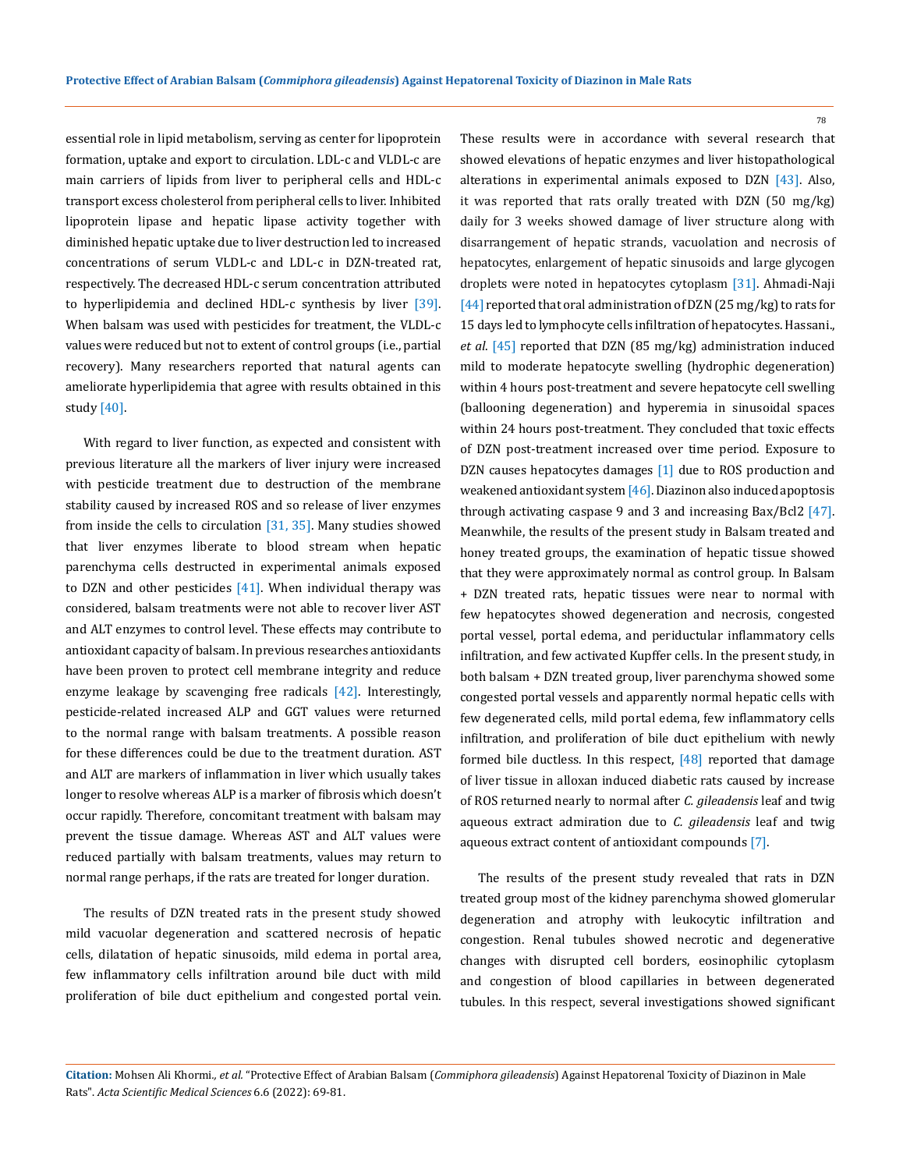essential role in lipid metabolism, serving as center for lipoprotein formation, uptake and export to circulation. LDL-c and VLDL-c are main carriers of lipids from liver to peripheral cells and HDL-c transport excess cholesterol from peripheral cells to liver. Inhibited lipoprotein lipase and hepatic lipase activity together with diminished hepatic uptake due to liver destruction led to increased concentrations of serum VLDL-c and LDL-c in DZN-treated rat, respectively. The decreased HDL-c serum concentration attributed to hyperlipidemia and declined HDL-c synthesis by liver [39]. When balsam was used with pesticides for treatment, the VLDL-c values were reduced but not to extent of control groups (i.e., partial recovery). Many researchers reported that natural agents can ameliorate hyperlipidemia that agree with results obtained in this study [40].

With regard to liver function, as expected and consistent with previous literature all the markers of liver injury were increased with pesticide treatment due to destruction of the membrane stability caused by increased ROS and so release of liver enzymes from inside the cells to circulation [31, 35]. Many studies showed that liver enzymes liberate to blood stream when hepatic parenchyma cells destructed in experimental animals exposed to DZN and other pesticides  $[41]$ . When individual therapy was considered, balsam treatments were not able to recover liver AST and ALT enzymes to control level. These effects may contribute to antioxidant capacity of balsam. In previous researches antioxidants have been proven to protect cell membrane integrity and reduce enzyme leakage by scavenging free radicals [42]. Interestingly, pesticide-related increased ALP and GGT values were returned to the normal range with balsam treatments. A possible reason for these differences could be due to the treatment duration. AST and ALT are markers of inflammation in liver which usually takes longer to resolve whereas ALP is a marker of fibrosis which doesn't occur rapidly. Therefore, concomitant treatment with balsam may prevent the tissue damage. Whereas AST and ALT values were reduced partially with balsam treatments, values may return to normal range perhaps, if the rats are treated for longer duration.

The results of DZN treated rats in the present study showed mild vacuolar degeneration and scattered necrosis of hepatic cells, dilatation of hepatic sinusoids, mild edema in portal area, few inflammatory cells infiltration around bile duct with mild proliferation of bile duct epithelium and congested portal vein.

These results were in accordance with several research that showed elevations of hepatic enzymes and liver histopathological alterations in experimental animals exposed to DZN [43]. Also, it was reported that rats orally treated with DZN (50 mg/kg) daily for 3 weeks showed damage of liver structure along with disarrangement of hepatic strands, vacuolation and necrosis of hepatocytes, enlargement of hepatic sinusoids and large glycogen droplets were noted in hepatocytes cytoplasm [31]. Ahmadi-Naji [44] reported that oral administration of DZN (25 mg/kg) to rats for 15 days led to lymphocyte cells infiltration of hepatocytes.Hassani., *et al*. [45] reported that DZN (85 mg/kg) administration induced mild to moderate hepatocyte swelling (hydrophic degeneration) within 4 hours post-treatment and severe hepatocyte cell swelling (ballooning degeneration) and hyperemia in sinusoidal spaces within 24 hours post-treatment. They concluded that toxic effects of DZN post-treatment increased over time period. Exposure to DZN causes hepatocytes damages [1] due to ROS production and weakened antioxidant system [46]. Diazinon also induced apoptosis through activating caspase 9 and 3 and increasing Bax/Bcl2 [47]. Meanwhile, the results of the present study in Balsam treated and honey treated groups, the examination of hepatic tissue showed that they were approximately normal as control group. In Balsam + DZN treated rats, hepatic tissues were near to normal with few hepatocytes showed degeneration and necrosis, congested portal vessel, portal edema, and periductular inflammatory cells infiltration, and few activated Kupffer cells. In the present study, in both balsam + DZN treated group, liver parenchyma showed some congested portal vessels and apparently normal hepatic cells with few degenerated cells, mild portal edema, few inflammatory cells infiltration, and proliferation of bile duct epithelium with newly formed bile ductless. In this respect,  $[48]$  reported that damage of liver tissue in alloxan induced diabetic rats caused by increase of ROS returned nearly to normal after *C. gileadensis* leaf and twig aqueous extract admiration due to *C. gileadensis* leaf and twig aqueous extract content of antioxidant compounds [7].

The results of the present study revealed that rats in DZN treated group most of the kidney parenchyma showed glomerular degeneration and atrophy with leukocytic infiltration and congestion. Renal tubules showed necrotic and degenerative changes with disrupted cell borders, eosinophilic cytoplasm and congestion of blood capillaries in between degenerated tubules. In this respect, several investigations showed significant

**Citation:** Mohsen Ali Khormi*., et al.* "Protective Effect of Arabian Balsam (*Commiphora gileadensis*) Against Hepatorenal Toxicity of Diazinon in Male Rats". *Acta Scientific Medical Sciences* 6.6 (2022): 69-81.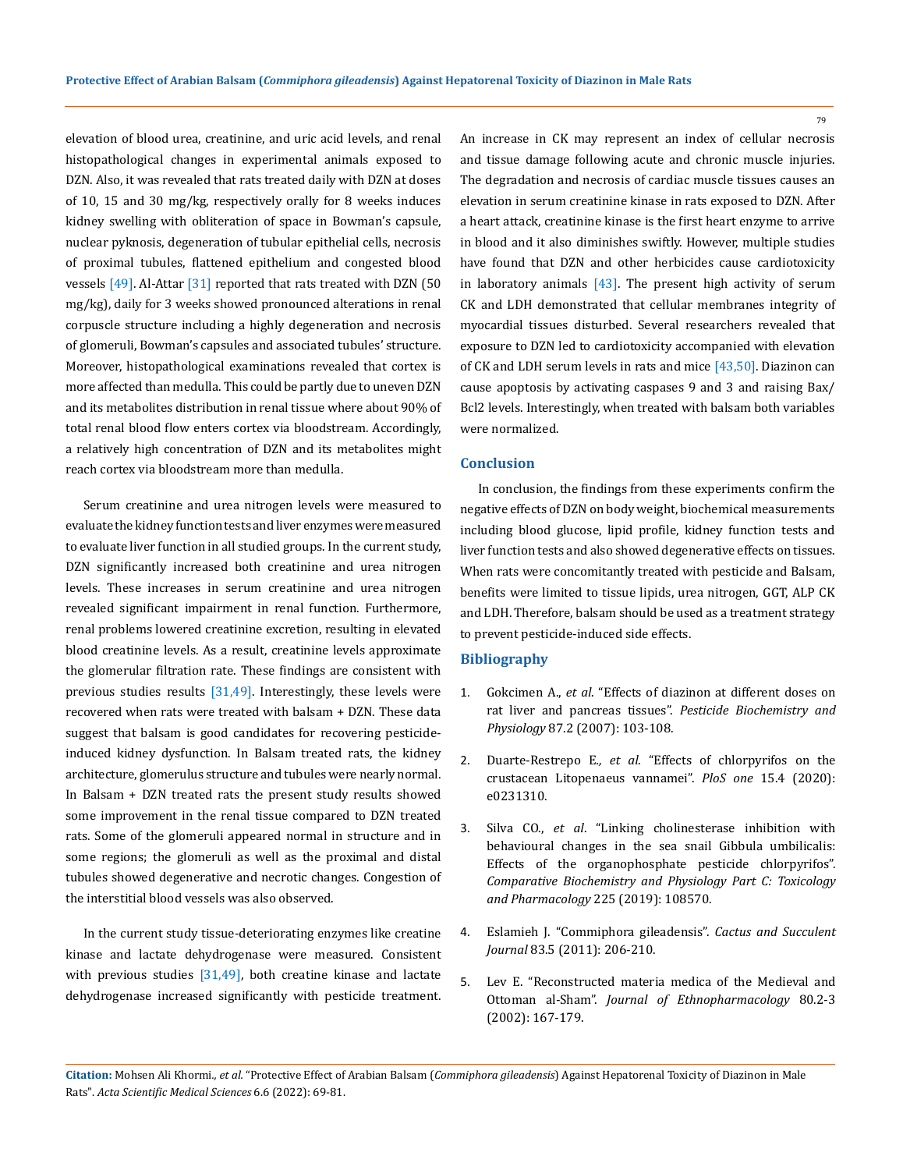elevation of blood urea, creatinine, and uric acid levels, and renal histopathological changes in experimental animals exposed to DZN. Also, it was revealed that rats treated daily with DZN at doses of 10, 15 and 30 mg/kg, respectively orally for 8 weeks induces kidney swelling with obliteration of space in Bowman's capsule, nuclear pyknosis, degeneration of tubular epithelial cells, necrosis of proximal tubules, flattened epithelium and congested blood vessels  $[49]$ . Al-Attar  $[31]$  reported that rats treated with DZN (50 mg/kg), daily for 3 weeks showed pronounced alterations in renal corpuscle structure including a highly degeneration and necrosis of glomeruli, Bowman's capsules and associated tubules' structure. Moreover, histopathological examinations revealed that cortex is more affected than medulla. This could be partly due to uneven DZN and its metabolites distribution in renal tissue where about 90% of total renal blood flow enters cortex via bloodstream. Accordingly, a relatively high concentration of DZN and its metabolites might reach cortex via bloodstream more than medulla.

Serum creatinine and urea nitrogen levels were measured to evaluate the kidney function tests and liver enzymes were measured to evaluate liver function in all studied groups. In the current study, DZN significantly increased both creatinine and urea nitrogen levels. These increases in serum creatinine and urea nitrogen revealed significant impairment in renal function. Furthermore, renal problems lowered creatinine excretion, resulting in elevated blood creatinine levels. As a result, creatinine levels approximate the glomerular filtration rate. These findings are consistent with previous studies results [31,49]. Interestingly, these levels were recovered when rats were treated with balsam + DZN. These data suggest that balsam is good candidates for recovering pesticideinduced kidney dysfunction. In Balsam treated rats, the kidney architecture, glomerulus structure and tubules were nearly normal. In Balsam + DZN treated rats the present study results showed some improvement in the renal tissue compared to DZN treated rats. Some of the glomeruli appeared normal in structure and in some regions; the glomeruli as well as the proximal and distal tubules showed degenerative and necrotic changes. Congestion of the interstitial blood vessels was also observed.

In the current study tissue-deteriorating enzymes like creatine kinase and lactate dehydrogenase were measured. Consistent with previous studies  $[31,49]$ , both creatine kinase and lactate dehydrogenase increased significantly with pesticide treatment.

An increase in CK may represent an index of cellular necrosis and tissue damage following acute and chronic muscle injuries. The degradation and necrosis of cardiac muscle tissues causes an elevation in serum creatinine kinase in rats exposed to DZN. After a heart attack, creatinine kinase is the first heart enzyme to arrive in blood and it also diminishes swiftly. However, multiple studies have found that DZN and other herbicides cause cardiotoxicity in laboratory animals  $[43]$ . The present high activity of serum CK and LDH demonstrated that cellular membranes integrity of myocardial tissues disturbed. Several researchers revealed that exposure to DZN led to cardiotoxicity accompanied with elevation of CK and LDH serum levels in rats and mice [43,50]. Diazinon can cause apoptosis by activating caspases 9 and 3 and raising Bax/ Bcl2 levels. Interestingly, when treated with balsam both variables were normalized.

# **Conclusion**

In conclusion, the findings from these experiments confirm the negative effects of DZN on body weight, biochemical measurements including blood glucose, lipid profile, kidney function tests and liver function tests and also showed degenerative effects on tissues. When rats were concomitantly treated with pesticide and Balsam, benefits were limited to tissue lipids, urea nitrogen, GGT, ALP CK and LDH. Therefore, balsam should be used as a treatment strategy to prevent pesticide-induced side effects.

### **Bibliography**

- 1. Gokcimen A., *et al*[. "Effects of diazinon at different doses on](https://www.sciencedirect.com/science/article/abs/pii/S0048357506000939) rat liver and pancreas tissues". *[Pesticide Biochemistry and](https://www.sciencedirect.com/science/article/abs/pii/S0048357506000939)  Physiology* [87.2 \(2007\): 103-108.](https://www.sciencedirect.com/science/article/abs/pii/S0048357506000939)
- 2. Duarte-Restrepo E*., et al*. "Effects of chlorpyrifos on the crustacean Litopenaeus vannamei". *PloS one* 15.4 (2020): e0231310.
- 3. Silva CO., *et al*[. "Linking cholinesterase inhibition with](https://pubmed.ncbi.nlm.nih.gov/31306804/)  [behavioural changes in the sea snail Gibbula umbilicalis:](https://pubmed.ncbi.nlm.nih.gov/31306804/)  [Effects of the organophosphate pesticide chlorpyrifos".](https://pubmed.ncbi.nlm.nih.gov/31306804/) *[Comparative Biochemistry and Physiology Part C: Toxicology](https://pubmed.ncbi.nlm.nih.gov/31306804/) [and Pharmacology](https://pubmed.ncbi.nlm.nih.gov/31306804/)* 225 (2019): 108570.
- 4. [Eslamieh J. "Commiphora gileadensis".](https://bioone.org/journals/Cactus-and-Succulent-Journal/volume-83/issue-5/0007-9367-83.5.206/Commiphora-gileadensis/10.2985/0007-9367-83.5.206.short) *Cactus and Succulent Journal* [83.5 \(2011\): 206-210.](https://bioone.org/journals/Cactus-and-Succulent-Journal/volume-83/issue-5/0007-9367-83.5.206/Commiphora-gileadensis/10.2985/0007-9367-83.5.206.short)
- 5. [Lev E. "Reconstructed materia medica of the Medieval and](https://pubmed.ncbi.nlm.nih.gov/12007707/) Ottoman al-Sham". *[Journal of Ethnopharmacology](https://pubmed.ncbi.nlm.nih.gov/12007707/)* 80.2-3 [\(2002\): 167-179.](https://pubmed.ncbi.nlm.nih.gov/12007707/)

**Citation:** Mohsen Ali Khormi*., et al.* "Protective Effect of Arabian Balsam (*Commiphora gileadensis*) Against Hepatorenal Toxicity of Diazinon in Male Rats". *Acta Scientific Medical Sciences* 6.6 (2022): 69-81.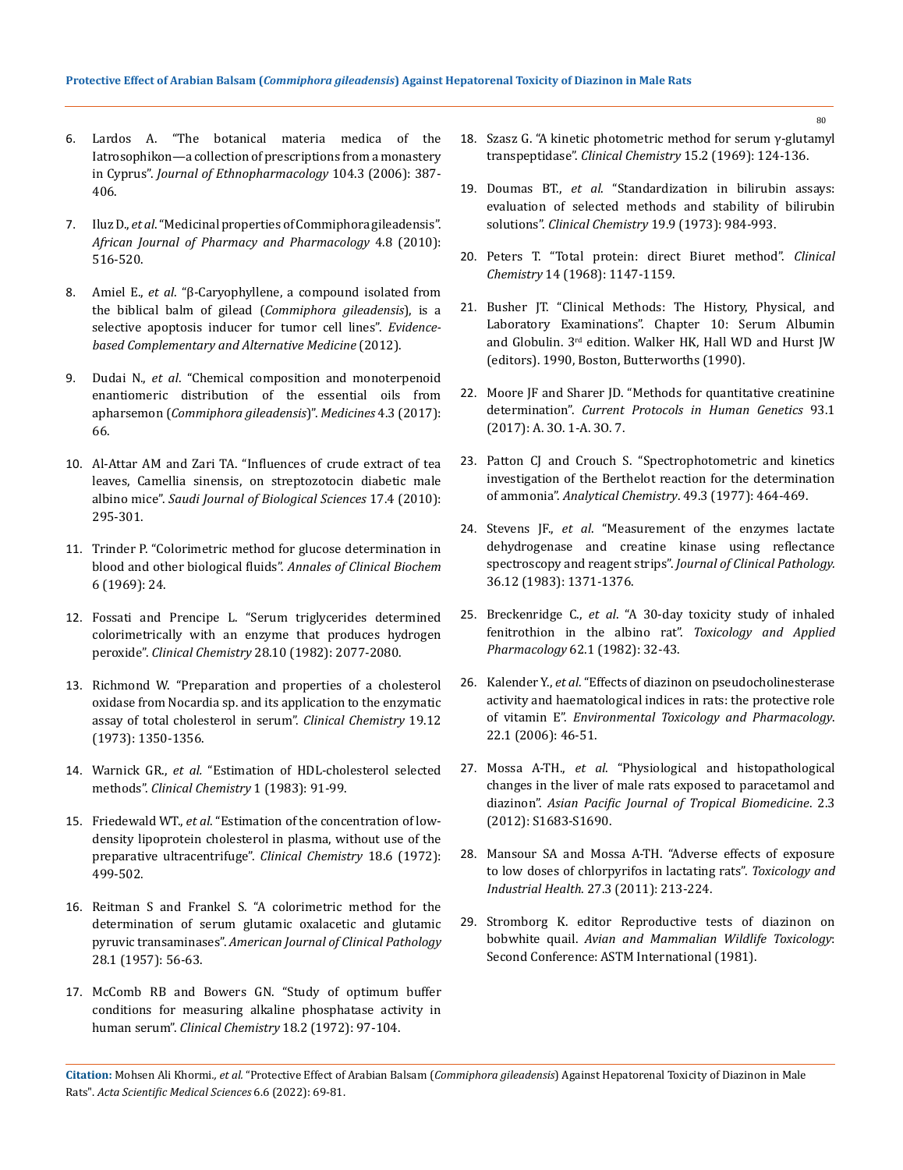- 6. [Lardos A. "The botanical materia medica of the](https://pubmed.ncbi.nlm.nih.gov/16459038/)  [Iatrosophikon—a collection of prescriptions from a monastery](https://pubmed.ncbi.nlm.nih.gov/16459038/)  in Cyprus". *[Journal of Ethnopharmacology](https://pubmed.ncbi.nlm.nih.gov/16459038/)* 104.3 (2006): 387- [406.](https://pubmed.ncbi.nlm.nih.gov/16459038/)
- 7. Iluz D., *et al*. "Medicinal properties of Commiphora gileadensis". *African Journal of Pharmacy and Pharmacology* 4.8 (2010): 516-520.
- 8. Amiel E., *et al*[. "β-Caryophyllene, a compound isolated from](https://pubmed.ncbi.nlm.nih.gov/22567036/)  the biblical balm of gilead (*[Commiphora gileadensis](https://pubmed.ncbi.nlm.nih.gov/22567036/)*), is a [selective apoptosis inducer for tumor cell lines".](https://pubmed.ncbi.nlm.nih.gov/22567036/) *Evidence[based Complementary and Alternative Medicine](https://pubmed.ncbi.nlm.nih.gov/22567036/)* (2012).
- 9. Dudai N., *et al*[. "Chemical composition and monoterpenoid](https://pubmed.ncbi.nlm.nih.gov/28930280/)  [enantiomeric distribution of the essential oils from](https://pubmed.ncbi.nlm.nih.gov/28930280/)  apharsemon (*[Commiphora gileadensis](https://pubmed.ncbi.nlm.nih.gov/28930280/)*)". *Medicines* 4.3 (2017): [66.](https://pubmed.ncbi.nlm.nih.gov/28930280/)
- 10. [Al-Attar AM and Zari TA. "Influences of crude extract of tea](https://pubmed.ncbi.nlm.nih.gov/23961092/)  [leaves, Camellia sinensis, on streptozotocin diabetic male](https://pubmed.ncbi.nlm.nih.gov/23961092/)  albino mice". *[Saudi Journal of Biological Sciences](https://pubmed.ncbi.nlm.nih.gov/23961092/)* 17.4 (2010): [295-301.](https://pubmed.ncbi.nlm.nih.gov/23961092/)
- 11. Trinder P. "Colorimetric method for glucose determination in blood and other biological fluids". *Annales of Clinical Biochem* 6 (1969): 24.
- 12. [Fossati and Prencipe L. "Serum triglycerides determined](https://pubmed.ncbi.nlm.nih.gov/6812986/)  [colorimetrically with an enzyme that produces hydrogen](https://pubmed.ncbi.nlm.nih.gov/6812986/)  peroxide". *Clinical Chemistry* [28.10 \(1982\): 2077-2080.](https://pubmed.ncbi.nlm.nih.gov/6812986/)
- 13. [Richmond W. "Preparation and properties of a cholesterol](https://pubmed.ncbi.nlm.nih.gov/4757363/)  [oxidase from Nocardia sp. and its application to the enzymatic](https://pubmed.ncbi.nlm.nih.gov/4757363/)  [assay of total cholesterol in serum".](https://pubmed.ncbi.nlm.nih.gov/4757363/) *Clinical Chemistry* 19.12 [\(1973\): 1350-1356.](https://pubmed.ncbi.nlm.nih.gov/4757363/)
- 14. Warnick GR., *et al.* "Estimation of HDL-cholesterol selected methods". *Clinical Chemistry* 1 (1983): 91-99.
- 15. Friedewald WT., *et al*[. "Estimation of the concentration of low](https://pubmed.ncbi.nlm.nih.gov/4337382/)[density lipoprotein cholesterol in plasma, without use of the](https://pubmed.ncbi.nlm.nih.gov/4337382/)  [preparative ultracentrifuge".](https://pubmed.ncbi.nlm.nih.gov/4337382/) *Clinical Chemistry* 18.6 (1972): [499-502.](https://pubmed.ncbi.nlm.nih.gov/4337382/)
- 16. [Reitman S and Frankel S. "A colorimetric method for the](https://pubmed.ncbi.nlm.nih.gov/13458125/)  [determination of serum glutamic oxalacetic and glutamic](https://pubmed.ncbi.nlm.nih.gov/13458125/)  pyruvic transaminases". *[American Journal of Clinical Pathology](https://pubmed.ncbi.nlm.nih.gov/13458125/)* [28.1 \(1957\): 56-63.](https://pubmed.ncbi.nlm.nih.gov/13458125/)
- 17. [McComb RB and Bowers GN. "Study of optimum buffer](https://academic.oup.com/clinchem/article-abstract/18/2/97/5676008?redirectedFrom=fulltext)  [conditions for measuring alkaline phosphatase activity in](https://academic.oup.com/clinchem/article-abstract/18/2/97/5676008?redirectedFrom=fulltext)  human serum". *[Clinical Chemistry](https://academic.oup.com/clinchem/article-abstract/18/2/97/5676008?redirectedFrom=fulltext)* 18.2 (1972): 97-104.
- 18. [Szasz G. "A kinetic photometric method for serum γ-glutamyl](https://pubmed.ncbi.nlm.nih.gov/5773262/)  transpeptidase". *Clinical Chemistry* [15.2 \(1969\): 124-136.](https://pubmed.ncbi.nlm.nih.gov/5773262/)
- 19. Doumas BT., *et al*[. "Standardization in bilirubin assays:](https://pubmed.ncbi.nlm.nih.gov/4744825/)  [evaluation of selected methods and stability of bilirubin](https://pubmed.ncbi.nlm.nih.gov/4744825/)  solutions". *Clinical Chemistry* [19.9 \(1973\): 984-993.](https://pubmed.ncbi.nlm.nih.gov/4744825/)
- 20. Peters T. "Total protein: direct Biuret method". *Clinical Chemistry* 14 (1968): 1147-1159.
- 21. Busher JT. "Clinical Methods: The History, Physical, and Laboratory Examinations". Chapter 10: Serum Albumin and Globulin. 3rd edition. Walker HK, Hall WD and Hurst JW (editors). 1990, Boston, Butterworths (1990).
- 22. [Moore JF and Sharer JD. "Methods for quantitative creatinine](https://pubmed.ncbi.nlm.nih.gov/28384398/)  determination". *[Current Protocols in Human Genetics](https://pubmed.ncbi.nlm.nih.gov/28384398/)* 93.1 [\(2017\): A. 3O. 1-A. 3O. 7.](https://pubmed.ncbi.nlm.nih.gov/28384398/)
- 23. Patton CJ and Crouch S. "Spectrophotometric and kinetics [investigation of the Berthelot reaction for the determination](https://pubs.acs.org/doi/10.1021/ac50011a034)  of ammonia". *[Analytical Chemistry](https://pubs.acs.org/doi/10.1021/ac50011a034)*. 49.3 (1977): 464-469.
- 24. Stevens JF., *et al*[. "Measurement of the enzymes lactate](https://pubmed.ncbi.nlm.nih.gov/6655069/)  [dehydrogenase and creatine kinase using reflectance](https://pubmed.ncbi.nlm.nih.gov/6655069/)  spectroscopy and reagent strips". *[Journal of Clinical Pathology.](https://pubmed.ncbi.nlm.nih.gov/6655069/)* [36.12 \(1983\): 1371-1376.](https://pubmed.ncbi.nlm.nih.gov/6655069/)
- 25. Breckenridge C., *et al*[. "A 30-day toxicity study of inhaled](https://www.sciencedirect.com/science/article/abs/pii/0041008X82900990)  [fenitrothion in the albino rat".](https://www.sciencedirect.com/science/article/abs/pii/0041008X82900990) *Toxicology and Applied Pharmacology* [62.1 \(1982\): 32-43.](https://www.sciencedirect.com/science/article/abs/pii/0041008X82900990)
- 26. Kalender Y., *et al*[. "Effects of diazinon on pseudocholinesterase](https://pubmed.ncbi.nlm.nih.gov/21783685/)  [activity and haematological indices in rats: the protective role](https://pubmed.ncbi.nlm.nih.gov/21783685/)  of vitamin E". *[Environmental Toxicology and Pharmacology](https://pubmed.ncbi.nlm.nih.gov/21783685/)*. [22.1 \(2006\): 46-51.](https://pubmed.ncbi.nlm.nih.gov/21783685/)
- 27. Mossa A-TH., *et al*[. "Physiological and histopathological](https://www.sciencedirect.com/science/article/abs/pii/S222116911260478X)  [changes in the liver of male rats exposed to paracetamol and](https://www.sciencedirect.com/science/article/abs/pii/S222116911260478X)  diazinon". *[Asian Pacific Journal of Tropical Biomedicine](https://www.sciencedirect.com/science/article/abs/pii/S222116911260478X)*. 2.3 [\(2012\): S1683-S1690.](https://www.sciencedirect.com/science/article/abs/pii/S222116911260478X)
- 28. [Mansour SA and Mossa A-TH. "Adverse effects of exposure](https://pubmed.ncbi.nlm.nih.gov/20870695/)  [to low doses of chlorpyrifos in lactating rats".](https://pubmed.ncbi.nlm.nih.gov/20870695/) *Toxicology and Industrial Health*[. 27.3 \(2011\): 213-224.](https://pubmed.ncbi.nlm.nih.gov/20870695/)
- 29. Stromborg K. editor Reproductive tests of diazinon on bobwhite quail. *Avian and Mammalian Wildlife Toxicology*: Second Conference: ASTM International (1981).

**Citation:** Mohsen Ali Khormi*., et al.* "Protective Effect of Arabian Balsam (*Commiphora gileadensis*) Against Hepatorenal Toxicity of Diazinon in Male Rats". *Acta Scientific Medical Sciences* 6.6 (2022): 69-81.